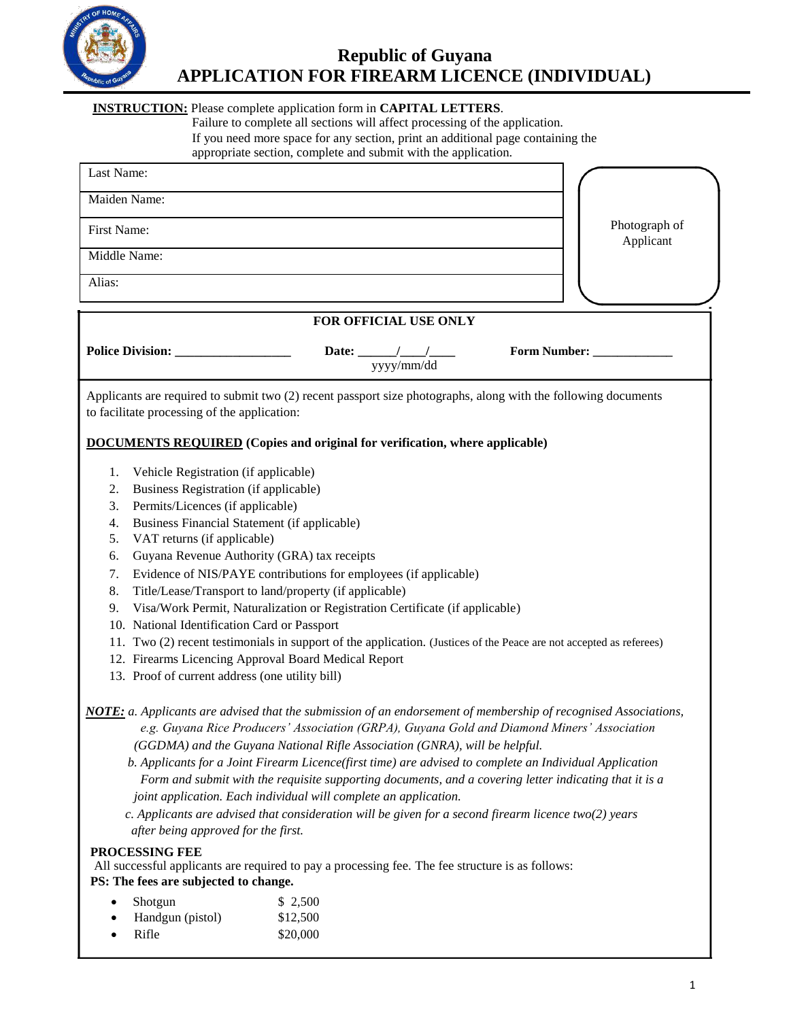

# **Republic of Guyana APPLICATION FOR FIREARM LICENCE (INDIVIDUAL)**

### **INSTRUCTION:** Please complete application form in **CAPITAL LETTERS**.

Failure to complete all sections will affect processing of the application. If you need more space for any section, print an additional page containing the appropriate section, complete and submit with the application.

| Last Name:                                   |                                                                                                                |              |                            |
|----------------------------------------------|----------------------------------------------------------------------------------------------------------------|--------------|----------------------------|
| Maiden Name:                                 |                                                                                                                |              |                            |
| First Name:                                  |                                                                                                                |              | Photograph of<br>Applicant |
| Middle Name:                                 |                                                                                                                |              |                            |
| Alias:                                       |                                                                                                                |              |                            |
|                                              | FOR OFFICIAL USE ONLY                                                                                          |              |                            |
| <b>Police Division:</b>                      | yyyy/mm/dd                                                                                                     | Form Number: |                            |
| to facilitate processing of the application: | Applicants are required to submit two (2) recent passport size photographs, along with the following documents |              |                            |

### **DOCUMENTS REQUIRED (Copies and original for verification, where applicable)**

- 1. Vehicle Registration (if applicable)
- 2. Business Registration (if applicable)
- 3. Permits/Licences (if applicable)
- 4. Business Financial Statement (if applicable)
- 5. VAT returns (if applicable)
- 6. Guyana Revenue Authority (GRA) tax receipts
- 7. Evidence of NIS/PAYE contributions for employees (if applicable)
- 8. Title/Lease/Transport to land/property (if applicable)
- 9. Visa/Work Permit, Naturalization or Registration Certificate (if applicable)
- 10. National Identification Card or Passport
- 11. Two (2) recent testimonials in support of the application. (Justices of the Peace are not accepted as referees)
- 12. Firearms Licencing Approval Board Medical Report
- 13. Proof of current address (one utility bill)
- *NOTE: a. Applicants are advised that the submission of an endorsement of membership of recognised Associations, e.g. Guyana Rice Producers' Association (GRPA), Guyana Gold and Diamond Miners' Association (GGDMA) and the Guyana National Rifle Association (GNRA), will be helpful.*
	- *b. Applicants for a Joint Firearm Licence(first time) are advised to complete an Individual Application Form and submit with the requisite supporting documents, and a covering letter indicating that it is a joint application. Each individual will complete an application.*
	- *c. Applicants are advised that consideration will be given for a second firearm licence two(2) years after being approved for the first.*

### **PROCESSING FEE**

All successful applicants are required to pay a processing fee. The fee structure is as follows: **PS: The fees are subjected to change.**

- Shotgun \$ 2,500 Handgun (pistol) \$12,500
- Rifle \$20,000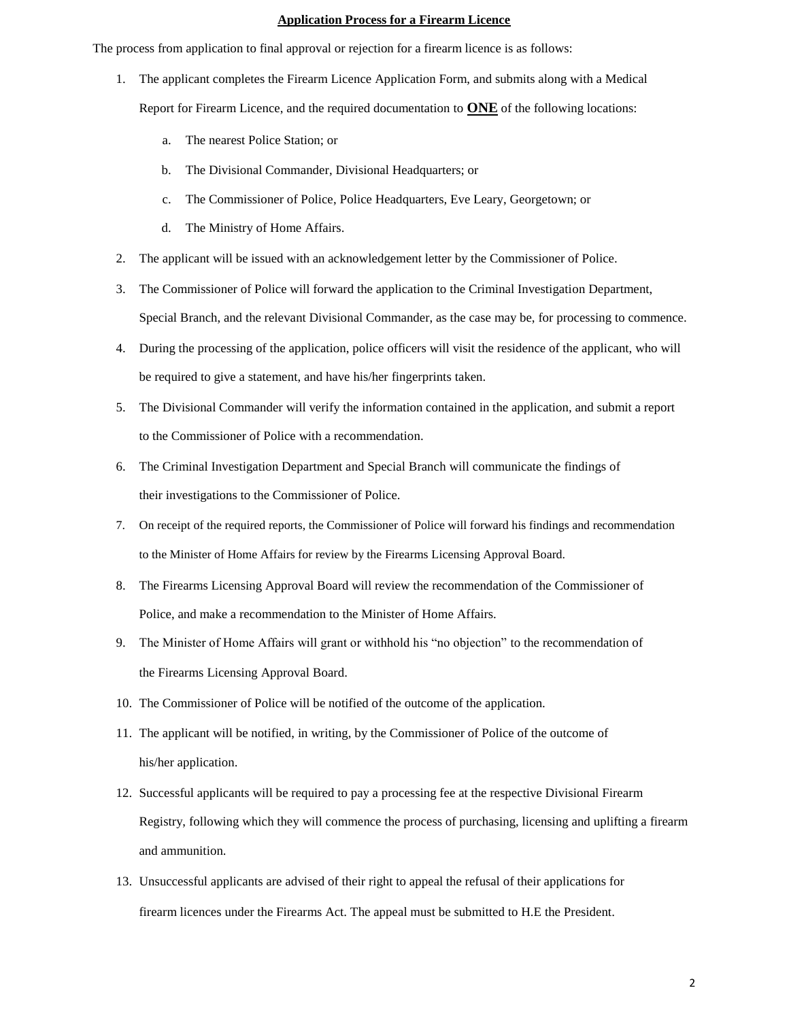#### **Application Process for a Firearm Licence**

The process from application to final approval or rejection for a firearm licence is as follows:

- 1. The applicant completes the Firearm Licence Application Form, and submits along with a Medical Report for Firearm Licence, and the required documentation to **ONE** of the following locations:
	- a. The nearest Police Station; or
	- b. The Divisional Commander, Divisional Headquarters; or
	- c. The Commissioner of Police, Police Headquarters, Eve Leary, Georgetown; or
	- d. The Ministry of Home Affairs.
- 2. The applicant will be issued with an acknowledgement letter by the Commissioner of Police.
- 3. The Commissioner of Police will forward the application to the Criminal Investigation Department, Special Branch, and the relevant Divisional Commander, as the case may be, for processing to commence.
- 4. During the processing of the application, police officers will visit the residence of the applicant, who will be required to give a statement, and have his/her fingerprints taken.
- 5. The Divisional Commander will verify the information contained in the application, and submit a report to the Commissioner of Police with a recommendation.
- 6. The Criminal Investigation Department and Special Branch will communicate the findings of their investigations to the Commissioner of Police.
- 7. On receipt of the required reports, the Commissioner of Police will forward his findings and recommendation to the Minister of Home Affairs for review by the Firearms Licensing Approval Board.
- 8. The Firearms Licensing Approval Board will review the recommendation of the Commissioner of Police, and make a recommendation to the Minister of Home Affairs.
- 9. The Minister of Home Affairs will grant or withhold his "no objection" to the recommendation of the Firearms Licensing Approval Board.
- 10. The Commissioner of Police will be notified of the outcome of the application.
- 11. The applicant will be notified, in writing, by the Commissioner of Police of the outcome of his/her application.
- 12. Successful applicants will be required to pay a processing fee at the respective Divisional Firearm Registry, following which they will commence the process of purchasing, licensing and uplifting a firearm and ammunition.
- 13. Unsuccessful applicants are advised of their right to appeal the refusal of their applications for firearm licences under the Firearms Act. The appeal must be submitted to H.E the President.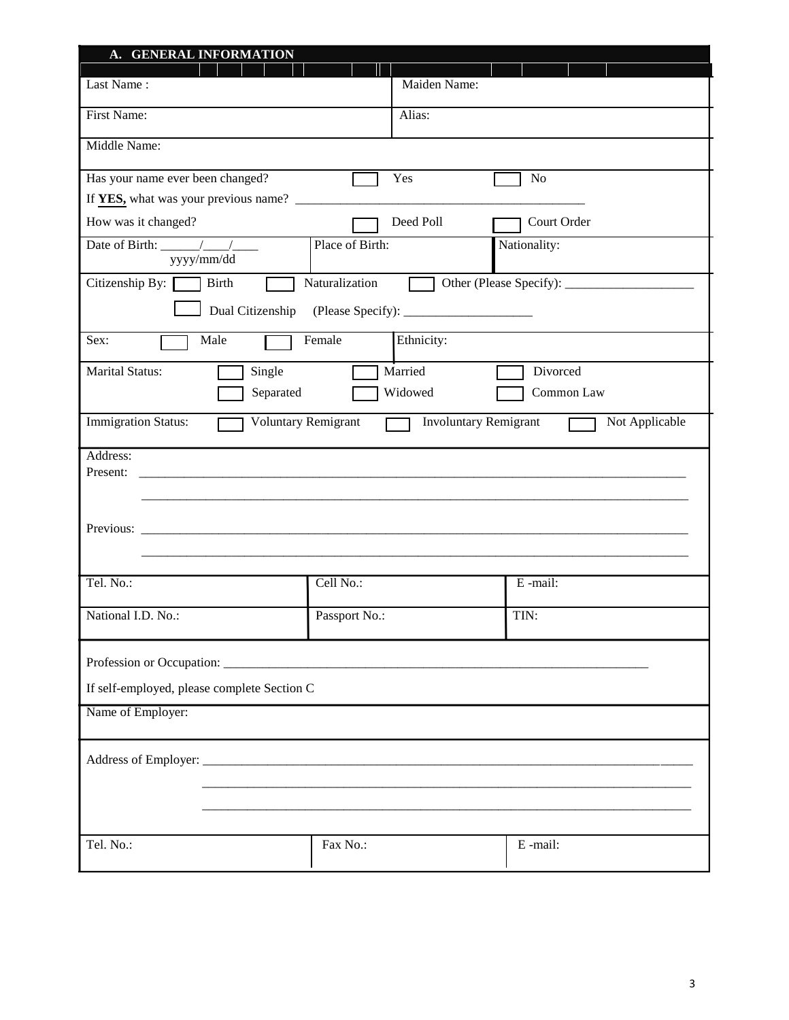| A. GENERAL INFORMATION                                                                                                                                                                                                                                                                                                                                                                                                    |                              |                |  |  |
|---------------------------------------------------------------------------------------------------------------------------------------------------------------------------------------------------------------------------------------------------------------------------------------------------------------------------------------------------------------------------------------------------------------------------|------------------------------|----------------|--|--|
| Last Name:                                                                                                                                                                                                                                                                                                                                                                                                                | Maiden Name:                 |                |  |  |
| First Name:                                                                                                                                                                                                                                                                                                                                                                                                               | Alias:                       |                |  |  |
| Middle Name:                                                                                                                                                                                                                                                                                                                                                                                                              |                              |                |  |  |
| Has your name ever been changed?                                                                                                                                                                                                                                                                                                                                                                                          | Yes                          | N <sub>o</sub> |  |  |
|                                                                                                                                                                                                                                                                                                                                                                                                                           |                              |                |  |  |
| How was it changed?                                                                                                                                                                                                                                                                                                                                                                                                       | Deed Poll                    | Court Order    |  |  |
| Date of Birth: $\sqrt{\frac{1}{1-\frac{1}{1-\frac{1}{1-\frac{1}{1-\frac{1}{1-\frac{1}{1-\frac{1}{1-\frac{1}{1-\frac{1}{1-\frac{1}{1-\frac{1}{1-\frac{1}{1-\frac{1}{1-\frac{1}{1-\frac{1}{1-\frac{1}{1-\frac{1}{1-\frac{1}{1-\frac{1}{1-\frac{1}{1-\frac{1}{1-\frac{1}{1-\frac{1}{1-\frac{1}{1-\frac{1}{1-\frac{1}{1-\frac{1}{1-\frac{1}{1-\frac{1}{1-\frac{1}{1-\frac{1}{1-\frac{1}{1-\frac{1}{1-\frac{1}{$<br>yyyy/mm/dd | Place of Birth:              | Nationality:   |  |  |
| Citizenship By:<br><b>Birth</b>                                                                                                                                                                                                                                                                                                                                                                                           | Naturalization               |                |  |  |
| Dual Citizenship                                                                                                                                                                                                                                                                                                                                                                                                          |                              |                |  |  |
| Sex:<br>Male                                                                                                                                                                                                                                                                                                                                                                                                              | Ethnicity:<br>Female         |                |  |  |
| <b>Marital Status:</b><br>Single                                                                                                                                                                                                                                                                                                                                                                                          | Married                      | Divorced       |  |  |
| Separated                                                                                                                                                                                                                                                                                                                                                                                                                 | Widowed                      | Common Law     |  |  |
| <b>Immigration Status:</b><br>Voluntary Remigrant                                                                                                                                                                                                                                                                                                                                                                         | <b>Involuntary Remigrant</b> | Not Applicable |  |  |
| Address:                                                                                                                                                                                                                                                                                                                                                                                                                  |                              |                |  |  |
| Present:                                                                                                                                                                                                                                                                                                                                                                                                                  |                              |                |  |  |
|                                                                                                                                                                                                                                                                                                                                                                                                                           |                              |                |  |  |
| Previous:                                                                                                                                                                                                                                                                                                                                                                                                                 |                              |                |  |  |
|                                                                                                                                                                                                                                                                                                                                                                                                                           |                              |                |  |  |
| Tel. No.:                                                                                                                                                                                                                                                                                                                                                                                                                 | Cell No.:                    | E-mail:        |  |  |
|                                                                                                                                                                                                                                                                                                                                                                                                                           |                              |                |  |  |
| National I.D. No.:                                                                                                                                                                                                                                                                                                                                                                                                        | Passport No.:                | TIN:           |  |  |
|                                                                                                                                                                                                                                                                                                                                                                                                                           |                              |                |  |  |
| If self-employed, please complete Section C                                                                                                                                                                                                                                                                                                                                                                               |                              |                |  |  |
| Name of Employer:                                                                                                                                                                                                                                                                                                                                                                                                         |                              |                |  |  |
|                                                                                                                                                                                                                                                                                                                                                                                                                           |                              |                |  |  |
|                                                                                                                                                                                                                                                                                                                                                                                                                           |                              |                |  |  |
|                                                                                                                                                                                                                                                                                                                                                                                                                           |                              |                |  |  |
|                                                                                                                                                                                                                                                                                                                                                                                                                           |                              |                |  |  |
|                                                                                                                                                                                                                                                                                                                                                                                                                           |                              |                |  |  |
| Tel. No.:                                                                                                                                                                                                                                                                                                                                                                                                                 | Fax No.:                     | E-mail:        |  |  |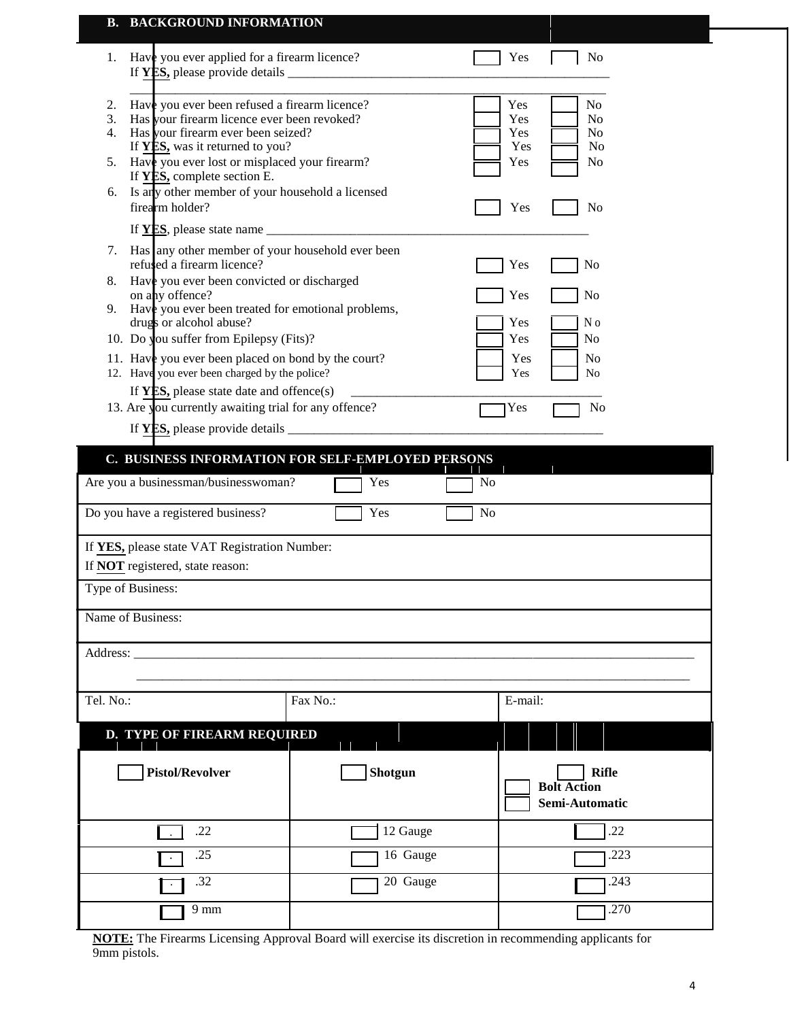|                      | <b>B. BACKGROUND INFORMATION</b>                                                                                                                                                                                                                                                                                                                                                                                                   |          |                                        |                                                                      |
|----------------------|------------------------------------------------------------------------------------------------------------------------------------------------------------------------------------------------------------------------------------------------------------------------------------------------------------------------------------------------------------------------------------------------------------------------------------|----------|----------------------------------------|----------------------------------------------------------------------|
| 1.                   | Have you ever applied for a firearm licence?                                                                                                                                                                                                                                                                                                                                                                                       |          | Yes                                    | No                                                                   |
| 2.<br>3.<br>4.<br>5. | Have you ever been refused a firearm licence?<br>Has your firearm licence ever been revoked?<br>Has your firearm ever been seized?<br>If YES, was it returned to you?<br>Have you ever lost or misplaced your firearm?<br>If YES, complete section E.                                                                                                                                                                              |          | Yes<br>Yes<br>Yes<br>Yes<br>Yes        | No<br>No<br>No<br>No<br>No                                           |
| 6.                   | Is any other member of your household a licensed<br>firearm holder?                                                                                                                                                                                                                                                                                                                                                                |          | Yes                                    | No                                                                   |
| 7.<br>8.<br>9.       | Has any other member of your household ever been<br>refused a firearm licence?<br>Have you ever been convicted or discharged<br>on any offence?<br>Have you ever been treated for emotional problems,<br>drugs or alcohol abuse?<br>10. Do you suffer from Epilepsy (Fits)?<br>11. Have you ever been placed on bond by the court?<br>12. Have you ever been charged by the police?<br>If $YES$ , please state date and offence(s) |          | Yes<br>Yes<br>Yes<br>Yes<br>Yes<br>Yes | No<br>No<br>N <sub>o</sub><br>N <sub>o</sub><br>N <sub>o</sub><br>No |
|                      | 13. Are you currently awaiting trial for any offence?<br>C. BUSINESS INFORMATION FOR SELF-EMPLOYED PERSONS                                                                                                                                                                                                                                                                                                                         |          | Yes                                    | No                                                                   |
|                      | Are you a businessman/businesswoman?                                                                                                                                                                                                                                                                                                                                                                                               | Yes      | No                                     |                                                                      |
|                      | Do you have a registered business?<br>If YES, please state VAT Registration Number:<br>If NOT registered, state reason:<br>Type of Business:                                                                                                                                                                                                                                                                                       | Yes      | No                                     |                                                                      |
|                      | Name of Business:                                                                                                                                                                                                                                                                                                                                                                                                                  |          |                                        |                                                                      |
| Address: _____       |                                                                                                                                                                                                                                                                                                                                                                                                                                    |          |                                        |                                                                      |
| Tel. No.:            |                                                                                                                                                                                                                                                                                                                                                                                                                                    | Fax No.: | E-mail:                                |                                                                      |
|                      | D. TYPE OF FIREARM REQUIRED                                                                                                                                                                                                                                                                                                                                                                                                        |          |                                        |                                                                      |
|                      | <b>Pistol/Revolver</b>                                                                                                                                                                                                                                                                                                                                                                                                             | Shotgun  |                                        | <b>Rifle</b><br><b>Bolt Action</b><br>Semi-Automatic                 |
|                      | .22                                                                                                                                                                                                                                                                                                                                                                                                                                | 12 Gauge |                                        | .22                                                                  |
|                      | .25                                                                                                                                                                                                                                                                                                                                                                                                                                | 16 Gauge |                                        | .223                                                                 |
|                      | .32                                                                                                                                                                                                                                                                                                                                                                                                                                | 20 Gauge |                                        | .243                                                                 |
|                      | $9 \text{ mm}$                                                                                                                                                                                                                                                                                                                                                                                                                     |          |                                        | .270                                                                 |

**NOTE:** The Firearms Licensing Approval Board will exercise its discretion in recommending applicants for 9mm pistols.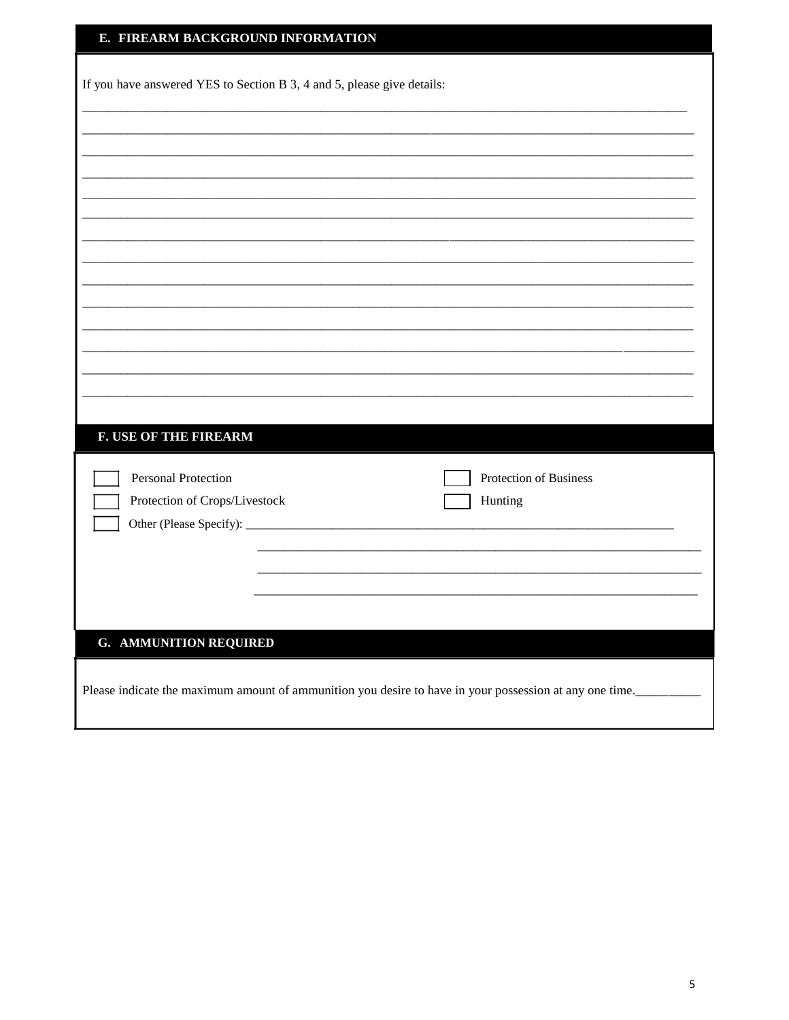| E. FIREARM BACKGROUND INFORMATION                                                                       |
|---------------------------------------------------------------------------------------------------------|
| If you have answered YES to Section B 3, 4 and 5, please give details:                                  |
|                                                                                                         |
|                                                                                                         |
|                                                                                                         |
|                                                                                                         |
|                                                                                                         |
| <b>F. USE OF THE FIREARM</b>                                                                            |
| Personal Protection<br>Protection of Business<br>Protection of Crops/Livestock<br>Hunting               |
|                                                                                                         |
| <b>G. AMMUNITION REQUIRED</b>                                                                           |
| Please indicate the maximum amount of ammunition you desire to have in your possession at any one time. |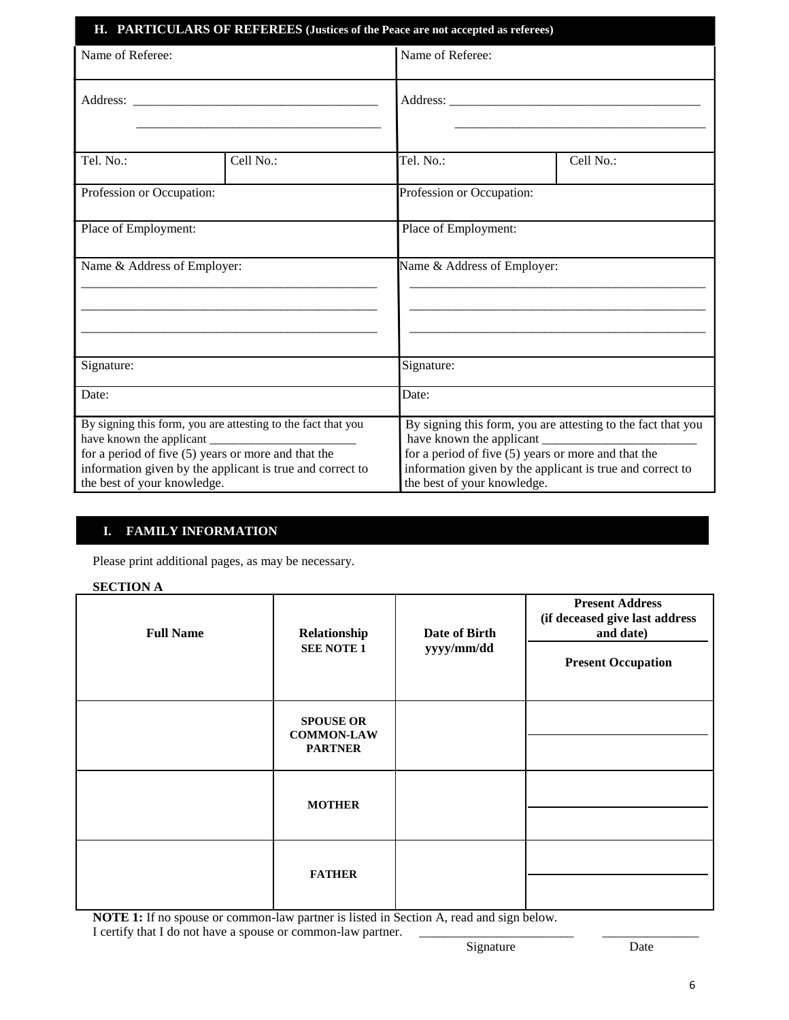| H. PARTICULARS OF REFEREES (Justices of the Peace are not accepted as referees)                                                                                                                                   |           |                                                                                                                                                                                                                   |           |  |  |
|-------------------------------------------------------------------------------------------------------------------------------------------------------------------------------------------------------------------|-----------|-------------------------------------------------------------------------------------------------------------------------------------------------------------------------------------------------------------------|-----------|--|--|
| Name of Referee:                                                                                                                                                                                                  |           | Name of Referee:                                                                                                                                                                                                  |           |  |  |
|                                                                                                                                                                                                                   |           |                                                                                                                                                                                                                   |           |  |  |
| Tel. No.:                                                                                                                                                                                                         | Cell No.: | Tel. No.:                                                                                                                                                                                                         | Cell No.: |  |  |
| Profession or Occupation:                                                                                                                                                                                         |           | Profession or Occupation:                                                                                                                                                                                         |           |  |  |
| Place of Employment:                                                                                                                                                                                              |           | Place of Employment:                                                                                                                                                                                              |           |  |  |
| Name & Address of Employer:                                                                                                                                                                                       |           | Name & Address of Employer:                                                                                                                                                                                       |           |  |  |
| Signature:                                                                                                                                                                                                        |           | Signature:                                                                                                                                                                                                        |           |  |  |
| Date:                                                                                                                                                                                                             |           | Date:                                                                                                                                                                                                             |           |  |  |
| By signing this form, you are attesting to the fact that you<br>for a period of five $(5)$ years or more and that the<br>information given by the applicant is true and correct to<br>the best of your knowledge. |           | By signing this form, you are attesting to the fact that you<br>for a period of five $(5)$ years or more and that the<br>information given by the applicant is true and correct to<br>the best of your knowledge. |           |  |  |

## **I. FAMILY INFORMATION**

Please print additional pages, as may be necessary.

### **SECTION A**

| <b>Full Name</b> | Relationship<br><b>SEE NOTE 1</b>                       | Date of Birth<br>yyyy/mm/dd | <b>Present Address</b><br>(if deceased give last address<br>and date)<br><b>Present Occupation</b> |
|------------------|---------------------------------------------------------|-----------------------------|----------------------------------------------------------------------------------------------------|
|                  | <b>SPOUSE OR</b><br><b>COMMON-LAW</b><br><b>PARTNER</b> |                             |                                                                                                    |
|                  | <b>MOTHER</b>                                           |                             |                                                                                                    |
|                  | <b>FATHER</b>                                           |                             |                                                                                                    |

**NOTE 1:** If no spouse or common-law partner is listed in Section A, read and sign below.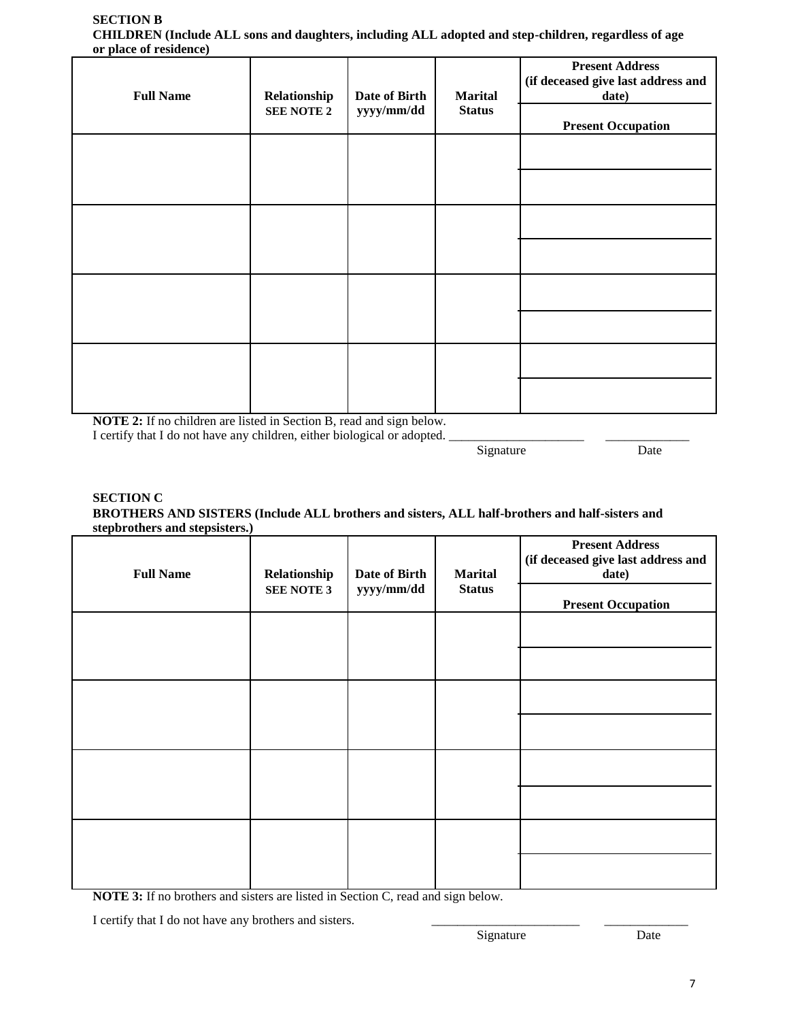#### **SECTION B CHILDREN (Include ALL sons and daughters, including ALL adopted and step-children, regardless of age or place of residence)**

| <b>Full Name</b> | Relationship<br><b>SEE NOTE 2</b> | Date of Birth<br>yyyy/mm/dd | <b>Marital</b><br><b>Status</b> | <b>Present Address</b><br>(if deceased give last address and<br>date)<br><b>Present Occupation</b> |
|------------------|-----------------------------------|-----------------------------|---------------------------------|----------------------------------------------------------------------------------------------------|
|                  |                                   |                             |                                 |                                                                                                    |
|                  |                                   |                             |                                 |                                                                                                    |
|                  |                                   |                             |                                 |                                                                                                    |
|                  |                                   |                             |                                 |                                                                                                    |

**NOTE 2:** If no children are listed in Section B, read and sign below.

I certify that I do not have any children, either biological or adopted.

Signature Date

### **SECTION C BROTHERS AND SISTERS (Include ALL brothers and sisters, ALL half-brothers and half-sisters and stepbrothers and stepsisters.)**

| <b>Full Name</b> | Relationship<br><b>SEE NOTE 3</b> | Date of Birth<br>yyyy/mm/dd | <b>Marital</b><br><b>Status</b> | <b>Present Address</b><br>(if deceased give last address and<br>date)<br><b>Present Occupation</b> |
|------------------|-----------------------------------|-----------------------------|---------------------------------|----------------------------------------------------------------------------------------------------|
|                  |                                   |                             |                                 |                                                                                                    |
|                  |                                   |                             |                                 |                                                                                                    |
|                  |                                   |                             |                                 |                                                                                                    |
|                  |                                   |                             |                                 |                                                                                                    |

**NOTE 3:** If no brothers and sisters are listed in Section C, read and sign below.

I certify that I do not have any brothers and sisters.